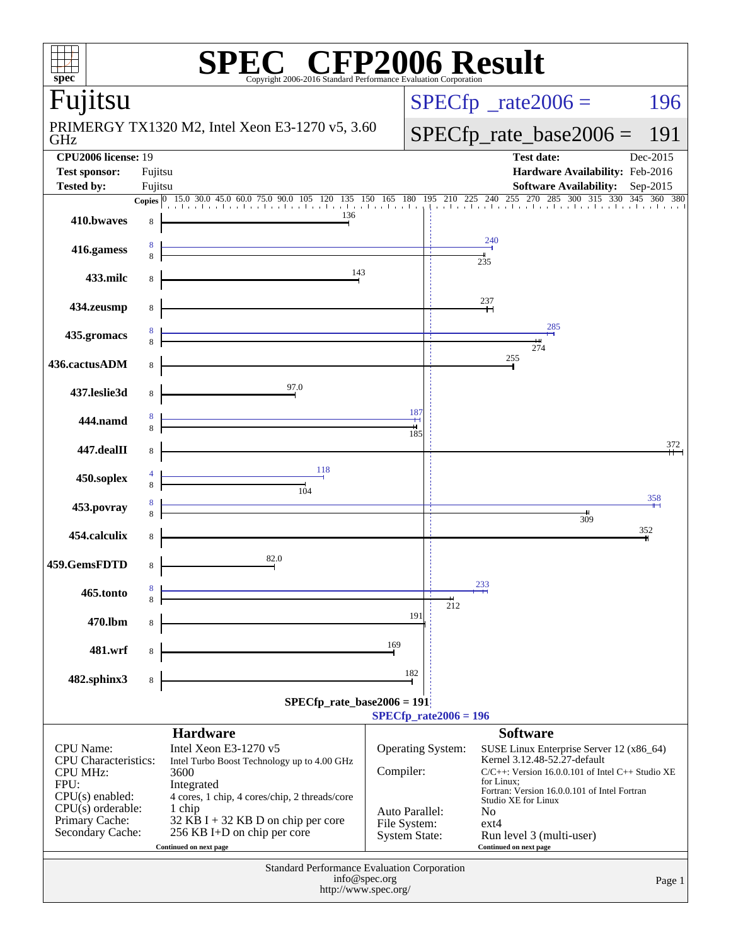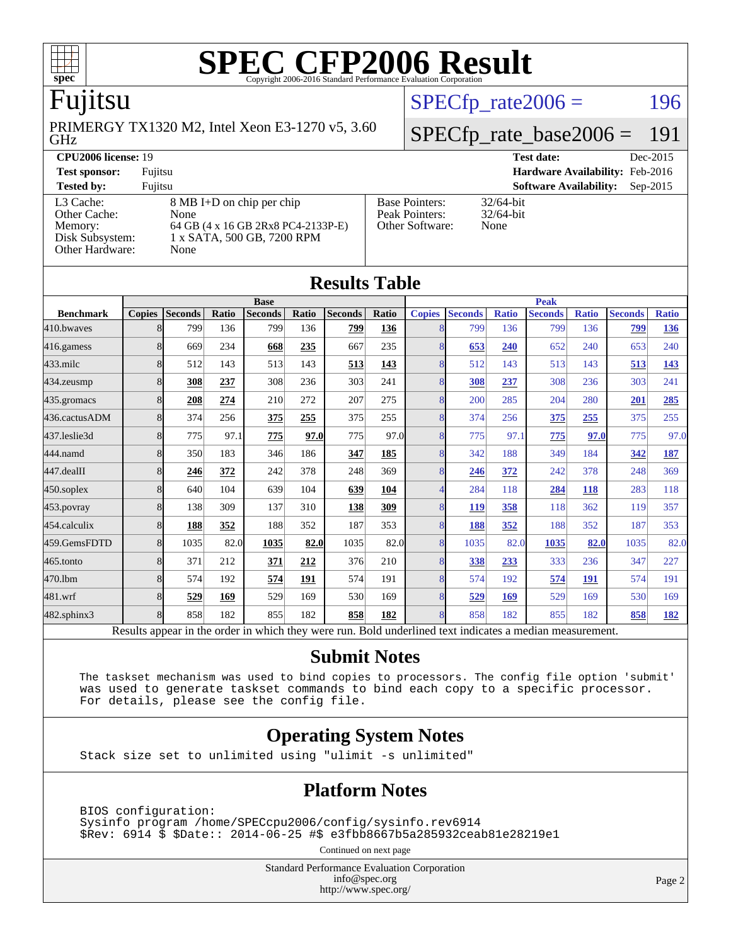

# Fujitsu

GHz PRIMERGY TX1320 M2, Intel Xeon E3-1270 v5, 3.60  $SPECTp_rate2006 = 196$ 

### [SPECfp\\_rate\\_base2006 =](http://www.spec.org/auto/cpu2006/Docs/result-fields.html#SPECfpratebase2006) 191

| <b>CPU2006 license: 19</b>                    |                                                                          | Dec-2015<br><b>Test date:</b>           |                                           |
|-----------------------------------------------|--------------------------------------------------------------------------|-----------------------------------------|-------------------------------------------|
| <b>Test sponsor:</b>                          | Fujitsu                                                                  |                                         | Hardware Availability: Feb-2016           |
| <b>Tested by:</b>                             | Fuiitsu                                                                  |                                         | <b>Software Availability:</b><br>Sep-2015 |
| L3 Cache:<br>Other Cache:                     | $8 \text{ MB I+D}$ on chip per chip<br>None                              | <b>Base Pointers:</b><br>Peak Pointers: | $32/64$ -bit<br>$32/64$ -bit              |
| Memory:<br>Disk Subsystem:<br>Other Hardware: | 64 GB (4 x 16 GB 2Rx8 PC4-2133P-E)<br>1 x SATA, 500 GB, 7200 RPM<br>None | Other Software:                         | None                                      |

| <b>Results Table</b> |                                                                                                          |                |       |                |       |                |       |                |                |              |                |              |                |              |
|----------------------|----------------------------------------------------------------------------------------------------------|----------------|-------|----------------|-------|----------------|-------|----------------|----------------|--------------|----------------|--------------|----------------|--------------|
|                      | <b>Base</b>                                                                                              |                |       | <b>Peak</b>    |       |                |       |                |                |              |                |              |                |              |
| <b>Benchmark</b>     | <b>Copies</b>                                                                                            | <b>Seconds</b> | Ratio | <b>Seconds</b> | Ratio | <b>Seconds</b> | Ratio | <b>Copies</b>  | <b>Seconds</b> | <b>Ratio</b> | <b>Seconds</b> | <b>Ratio</b> | <b>Seconds</b> | <b>Ratio</b> |
| 410.bwayes           | 8                                                                                                        | 799            | 136   | 799            | 136   | 799            | 136   | 8              | 799            | 136          | 799            | 136          | 799            | <u>136</u>   |
| 416.gamess           | 8                                                                                                        | 669            | 234   | 668            | 235   | 667            | 235   | 8              | 653            | 240          | 652            | 240          | 653            | 240          |
| 433.milc             | 8                                                                                                        | 512            | 143   | 513            | 143   | 513            | 143   | 8              | 512            | 143          | 513            | 143          | 513            | 143          |
| 434.zeusmp           | 8                                                                                                        | 308            | 237   | 308            | 236   | 303            | 241   | 8              | 308            | 237          | 308            | 236          | 303            | 241          |
| 435.gromacs          | 8                                                                                                        | 208            | 274   | 210            | 272   | 207            | 275   | 8              | 200            | 285          | 204            | 280          | 201            | 285          |
| 436.cactusADM        | 8                                                                                                        | 374            | 256   | 375            | 255   | 375            | 255   | 8              | 374            | 256          | 375            | 255          | 375            | 255          |
| 437.leslie3d         | 8                                                                                                        | 775            | 97.1  | 775            | 97.0  | 775            | 97.0  | 8              | 775            | 97.1         | 775            | 97.0         | 775            | 97.0         |
| 444.namd             | 8                                                                                                        | 350            | 183   | 346            | 186   | 347            | 185   | 8              | 342            | 188          | 349            | 184          | 342            | 187          |
| 447.dealII           | 8                                                                                                        | 246            | 372   | 242            | 378   | 248            | 369   | 8              | 246            | 372          | 242            | 378          | 248            | 369          |
| $450$ .soplex        | 8                                                                                                        | 640            | 104   | 639            | 104   | 639            | 104   | 4              | 284            | 118          | 284            | 118          | 283            | 118          |
| $453$ .povray        | 8                                                                                                        | 138            | 309   | 137            | 310   | 138            | 309   | 8              | 119            | 358          | 118            | 362          | 119            | 357          |
| 454.calculix         | 8                                                                                                        | 188            | 352   | 188            | 352   | 187            | 353   | 8              | 188            | 352          | 188            | 352          | 187            | 353          |
| 459.GemsFDTD         | 8                                                                                                        | 1035           | 82.0  | 1035           | 82.0  | 1035           | 82.0  | 8              | 1035           | 82.0         | 1035           | 82.0         | 1035           | 82.0         |
| $465$ .tonto         | 8                                                                                                        | 371            | 212   | 371            | 212   | 376            | 210   | 8              | <u>338</u>     | 233          | 333            | 236          | 347            | 227          |
| 470.1bm              | 8                                                                                                        | 574            | 192   | 574            | 191   | 574            | 191   | 8              | 574            | 192          | 574            | 191          | 574            | 191          |
| 481.wrf              | 8                                                                                                        | 529            | 169   | 529            | 169   | 530            | 169   | 8              | 529            | 169          | 529            | 169          | 530            | 169          |
| $482$ .sphinx $3$    | 8                                                                                                        | 858            | 182   | 855            | 182   | 858            | 182   | $\overline{8}$ | 858            | 182          | 855            | 182          | 858            | <u>182</u>   |
|                      | Results appear in the order in which they were run. Bold underlined text indicates a median measurement. |                |       |                |       |                |       |                |                |              |                |              |                |              |

#### **[Submit Notes](http://www.spec.org/auto/cpu2006/Docs/result-fields.html#SubmitNotes)**

 The taskset mechanism was used to bind copies to processors. The config file option 'submit' was used to generate taskset commands to bind each copy to a specific processor. For details, please see the config file.

#### **[Operating System Notes](http://www.spec.org/auto/cpu2006/Docs/result-fields.html#OperatingSystemNotes)**

Stack size set to unlimited using "ulimit -s unlimited"

#### **[Platform Notes](http://www.spec.org/auto/cpu2006/Docs/result-fields.html#PlatformNotes)**

 BIOS configuration: Sysinfo program /home/SPECcpu2006/config/sysinfo.rev6914 \$Rev: 6914 \$ \$Date:: 2014-06-25 #\$ e3fbb8667b5a285932ceab81e28219e1

Continued on next page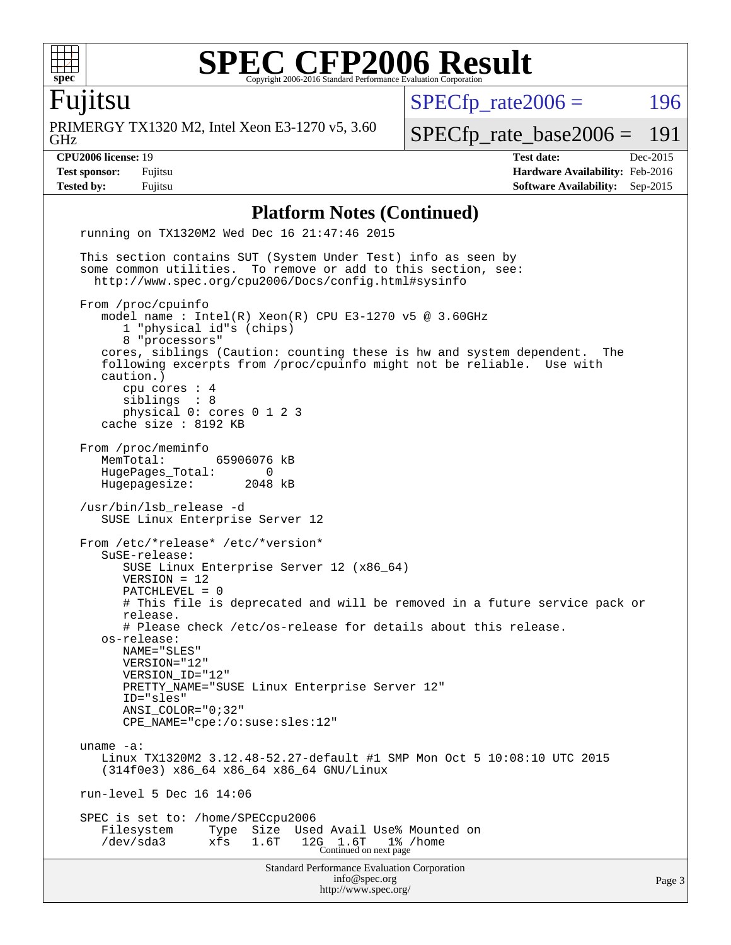

Fujitsu

GHz PRIMERGY TX1320 M2, Intel Xeon E3-1270 v5, 3.60  $SPECTp\_rate2006 = 196$ 

[SPECfp\\_rate\\_base2006 =](http://www.spec.org/auto/cpu2006/Docs/result-fields.html#SPECfpratebase2006) 191

**[CPU2006 license:](http://www.spec.org/auto/cpu2006/Docs/result-fields.html#CPU2006license)** 19 **[Test date:](http://www.spec.org/auto/cpu2006/Docs/result-fields.html#Testdate)** Dec-2015 **[Test sponsor:](http://www.spec.org/auto/cpu2006/Docs/result-fields.html#Testsponsor)** Fujitsu **[Hardware Availability:](http://www.spec.org/auto/cpu2006/Docs/result-fields.html#HardwareAvailability)** Feb-2016 **[Tested by:](http://www.spec.org/auto/cpu2006/Docs/result-fields.html#Testedby)** Fujitsu **[Software Availability:](http://www.spec.org/auto/cpu2006/Docs/result-fields.html#SoftwareAvailability)** Sep-2015

#### **[Platform Notes \(Continued\)](http://www.spec.org/auto/cpu2006/Docs/result-fields.html#PlatformNotes)**

Standard Performance Evaluation Corporation [info@spec.org](mailto:info@spec.org) <http://www.spec.org/> Page 3 running on TX1320M2 Wed Dec 16 21:47:46 2015 This section contains SUT (System Under Test) info as seen by some common utilities. To remove or add to this section, see: <http://www.spec.org/cpu2006/Docs/config.html#sysinfo> From /proc/cpuinfo model name : Intel(R) Xeon(R) CPU E3-1270 v5 @ 3.60GHz 1 "physical id"s (chips) 8 "processors" cores, siblings (Caution: counting these is hw and system dependent. The following excerpts from /proc/cpuinfo might not be reliable. Use with caution.) cpu cores : 4 siblings : 8 physical 0: cores 0 1 2 3 cache size : 8192 KB From /proc/meminfo<br>MemTotal: 65906076 kB HugePages\_Total: 0 Hugepagesize: 2048 kB /usr/bin/lsb\_release -d SUSE Linux Enterprise Server 12 From /etc/\*release\* /etc/\*version\* SuSE-release: SUSE Linux Enterprise Server 12 (x86\_64) VERSION = 12 PATCHLEVEL = 0 # This file is deprecated and will be removed in a future service pack or release. # Please check /etc/os-release for details about this release. os-release: NAME="SLES" VERSION="12" VERSION\_ID="12" PRETTY\_NAME="SUSE Linux Enterprise Server 12" ID="sles" ANSI\_COLOR="0;32" CPE\_NAME="cpe:/o:suse:sles:12" uname -a: Linux TX1320M2 3.12.48-52.27-default #1 SMP Mon Oct 5 10:08:10 UTC 2015 (314f0e3) x86\_64 x86\_64 x86\_64 GNU/Linux run-level 5 Dec 16 14:06 SPEC is set to: /home/SPECcpu2006 Filesystem Type Size Used Avail Use% Mounted on /dev/sda3 xfs 1.6T 12G 1.6T 1% /home Continued on next page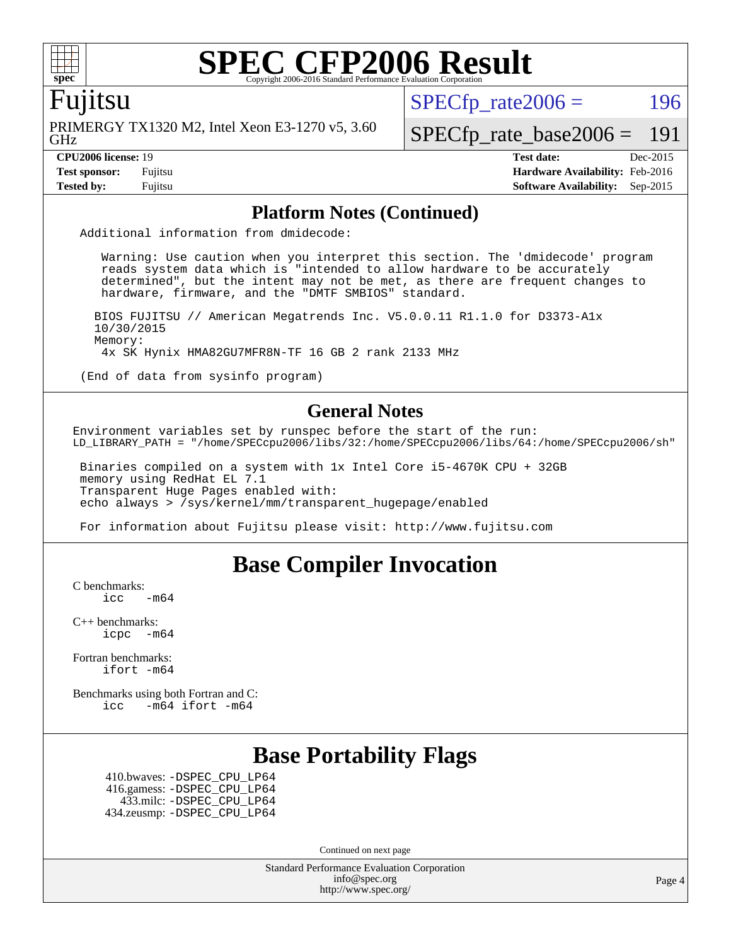

#### Fujitsu

GHz PRIMERGY TX1320 M2, Intel Xeon E3-1270 v5, 3.60  $SPECTp\_rate2006 = 196$ 

[SPECfp\\_rate\\_base2006 =](http://www.spec.org/auto/cpu2006/Docs/result-fields.html#SPECfpratebase2006) 191

**[CPU2006 license:](http://www.spec.org/auto/cpu2006/Docs/result-fields.html#CPU2006license)** 19 **[Test date:](http://www.spec.org/auto/cpu2006/Docs/result-fields.html#Testdate)** Dec-2015 **[Test sponsor:](http://www.spec.org/auto/cpu2006/Docs/result-fields.html#Testsponsor)** Fujitsu **[Hardware Availability:](http://www.spec.org/auto/cpu2006/Docs/result-fields.html#HardwareAvailability)** Feb-2016 **[Tested by:](http://www.spec.org/auto/cpu2006/Docs/result-fields.html#Testedby)** Fujitsu **[Software Availability:](http://www.spec.org/auto/cpu2006/Docs/result-fields.html#SoftwareAvailability)** Sep-2015

#### **[Platform Notes \(Continued\)](http://www.spec.org/auto/cpu2006/Docs/result-fields.html#PlatformNotes)**

Additional information from dmidecode:

 Warning: Use caution when you interpret this section. The 'dmidecode' program reads system data which is "intended to allow hardware to be accurately determined", but the intent may not be met, as there are frequent changes to hardware, firmware, and the "DMTF SMBIOS" standard.

 BIOS FUJITSU // American Megatrends Inc. V5.0.0.11 R1.1.0 for D3373-A1x 10/30/2015 Memory: 4x SK Hynix HMA82GU7MFR8N-TF 16 GB 2 rank 2133 MHz

(End of data from sysinfo program)

#### **[General Notes](http://www.spec.org/auto/cpu2006/Docs/result-fields.html#GeneralNotes)**

Environment variables set by runspec before the start of the run: LD\_LIBRARY\_PATH = "/home/SPECcpu2006/libs/32:/home/SPECcpu2006/libs/64:/home/SPECcpu2006/sh"

 Binaries compiled on a system with 1x Intel Core i5-4670K CPU + 32GB memory using RedHat EL 7.1 Transparent Huge Pages enabled with: echo always > /sys/kernel/mm/transparent\_hugepage/enabled

For information about Fujitsu please visit: <http://www.fujitsu.com>

### **[Base Compiler Invocation](http://www.spec.org/auto/cpu2006/Docs/result-fields.html#BaseCompilerInvocation)**

[C benchmarks](http://www.spec.org/auto/cpu2006/Docs/result-fields.html#Cbenchmarks):

 $\text{icc}$   $-\text{m64}$ 

[C++ benchmarks:](http://www.spec.org/auto/cpu2006/Docs/result-fields.html#CXXbenchmarks) [icpc -m64](http://www.spec.org/cpu2006/results/res2016q1/cpu2006-20160111-38688.flags.html#user_CXXbase_intel_icpc_64bit_bedb90c1146cab66620883ef4f41a67e)

[Fortran benchmarks](http://www.spec.org/auto/cpu2006/Docs/result-fields.html#Fortranbenchmarks): [ifort -m64](http://www.spec.org/cpu2006/results/res2016q1/cpu2006-20160111-38688.flags.html#user_FCbase_intel_ifort_64bit_ee9d0fb25645d0210d97eb0527dcc06e)

[Benchmarks using both Fortran and C](http://www.spec.org/auto/cpu2006/Docs/result-fields.html#BenchmarksusingbothFortranandC): [icc -m64](http://www.spec.org/cpu2006/results/res2016q1/cpu2006-20160111-38688.flags.html#user_CC_FCbase_intel_icc_64bit_0b7121f5ab7cfabee23d88897260401c) [ifort -m64](http://www.spec.org/cpu2006/results/res2016q1/cpu2006-20160111-38688.flags.html#user_CC_FCbase_intel_ifort_64bit_ee9d0fb25645d0210d97eb0527dcc06e)

### **[Base Portability Flags](http://www.spec.org/auto/cpu2006/Docs/result-fields.html#BasePortabilityFlags)**

 410.bwaves: [-DSPEC\\_CPU\\_LP64](http://www.spec.org/cpu2006/results/res2016q1/cpu2006-20160111-38688.flags.html#suite_basePORTABILITY410_bwaves_DSPEC_CPU_LP64) 416.gamess: [-DSPEC\\_CPU\\_LP64](http://www.spec.org/cpu2006/results/res2016q1/cpu2006-20160111-38688.flags.html#suite_basePORTABILITY416_gamess_DSPEC_CPU_LP64) 433.milc: [-DSPEC\\_CPU\\_LP64](http://www.spec.org/cpu2006/results/res2016q1/cpu2006-20160111-38688.flags.html#suite_basePORTABILITY433_milc_DSPEC_CPU_LP64) 434.zeusmp: [-DSPEC\\_CPU\\_LP64](http://www.spec.org/cpu2006/results/res2016q1/cpu2006-20160111-38688.flags.html#suite_basePORTABILITY434_zeusmp_DSPEC_CPU_LP64)

Continued on next page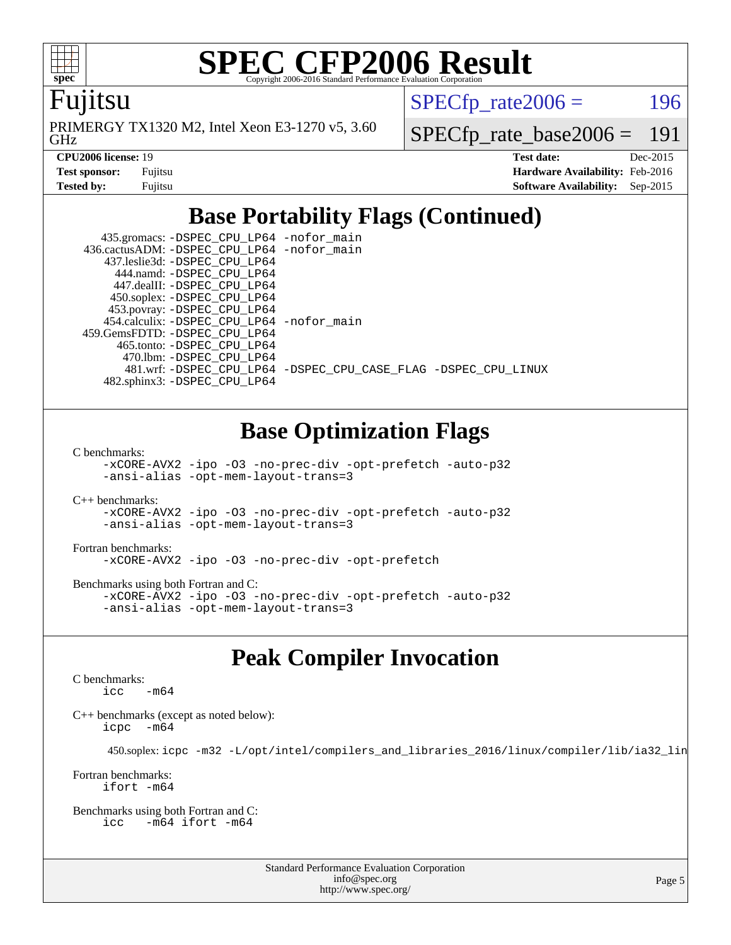

Fujitsu

GHz PRIMERGY TX1320 M2, Intel Xeon E3-1270 v5, 3.60  $SPECTp\_rate2006 = 196$ 

[SPECfp\\_rate\\_base2006 =](http://www.spec.org/auto/cpu2006/Docs/result-fields.html#SPECfpratebase2006) 191

| <b>Test sponsor:</b> | Fujitsu |
|----------------------|---------|
| Tested by:           | Fujitsu |

**[CPU2006 license:](http://www.spec.org/auto/cpu2006/Docs/result-fields.html#CPU2006license)** 19 **[Test date:](http://www.spec.org/auto/cpu2006/Docs/result-fields.html#Testdate)** Dec-2015 **[Hardware Availability:](http://www.spec.org/auto/cpu2006/Docs/result-fields.html#HardwareAvailability)** Feb-2016 **[Software Availability:](http://www.spec.org/auto/cpu2006/Docs/result-fields.html#SoftwareAvailability)** Sep-2015

## **[Base Portability Flags \(Continued\)](http://www.spec.org/auto/cpu2006/Docs/result-fields.html#BasePortabilityFlags)**

 435.gromacs: [-DSPEC\\_CPU\\_LP64](http://www.spec.org/cpu2006/results/res2016q1/cpu2006-20160111-38688.flags.html#suite_basePORTABILITY435_gromacs_DSPEC_CPU_LP64) [-nofor\\_main](http://www.spec.org/cpu2006/results/res2016q1/cpu2006-20160111-38688.flags.html#user_baseLDPORTABILITY435_gromacs_f-nofor_main) 436.cactusADM: [-DSPEC\\_CPU\\_LP64](http://www.spec.org/cpu2006/results/res2016q1/cpu2006-20160111-38688.flags.html#suite_basePORTABILITY436_cactusADM_DSPEC_CPU_LP64) [-nofor\\_main](http://www.spec.org/cpu2006/results/res2016q1/cpu2006-20160111-38688.flags.html#user_baseLDPORTABILITY436_cactusADM_f-nofor_main) 437.leslie3d: [-DSPEC\\_CPU\\_LP64](http://www.spec.org/cpu2006/results/res2016q1/cpu2006-20160111-38688.flags.html#suite_basePORTABILITY437_leslie3d_DSPEC_CPU_LP64) 444.namd: [-DSPEC\\_CPU\\_LP64](http://www.spec.org/cpu2006/results/res2016q1/cpu2006-20160111-38688.flags.html#suite_basePORTABILITY444_namd_DSPEC_CPU_LP64) 447.dealII: [-DSPEC\\_CPU\\_LP64](http://www.spec.org/cpu2006/results/res2016q1/cpu2006-20160111-38688.flags.html#suite_basePORTABILITY447_dealII_DSPEC_CPU_LP64) 450.soplex: [-DSPEC\\_CPU\\_LP64](http://www.spec.org/cpu2006/results/res2016q1/cpu2006-20160111-38688.flags.html#suite_basePORTABILITY450_soplex_DSPEC_CPU_LP64) 453.povray: [-DSPEC\\_CPU\\_LP64](http://www.spec.org/cpu2006/results/res2016q1/cpu2006-20160111-38688.flags.html#suite_basePORTABILITY453_povray_DSPEC_CPU_LP64) 454.calculix: [-DSPEC\\_CPU\\_LP64](http://www.spec.org/cpu2006/results/res2016q1/cpu2006-20160111-38688.flags.html#suite_basePORTABILITY454_calculix_DSPEC_CPU_LP64) [-nofor\\_main](http://www.spec.org/cpu2006/results/res2016q1/cpu2006-20160111-38688.flags.html#user_baseLDPORTABILITY454_calculix_f-nofor_main) 459.GemsFDTD: [-DSPEC\\_CPU\\_LP64](http://www.spec.org/cpu2006/results/res2016q1/cpu2006-20160111-38688.flags.html#suite_basePORTABILITY459_GemsFDTD_DSPEC_CPU_LP64) 465.tonto: [-DSPEC\\_CPU\\_LP64](http://www.spec.org/cpu2006/results/res2016q1/cpu2006-20160111-38688.flags.html#suite_basePORTABILITY465_tonto_DSPEC_CPU_LP64) 470.lbm: [-DSPEC\\_CPU\\_LP64](http://www.spec.org/cpu2006/results/res2016q1/cpu2006-20160111-38688.flags.html#suite_basePORTABILITY470_lbm_DSPEC_CPU_LP64) 481.wrf: [-DSPEC\\_CPU\\_LP64](http://www.spec.org/cpu2006/results/res2016q1/cpu2006-20160111-38688.flags.html#suite_basePORTABILITY481_wrf_DSPEC_CPU_LP64) [-DSPEC\\_CPU\\_CASE\\_FLAG](http://www.spec.org/cpu2006/results/res2016q1/cpu2006-20160111-38688.flags.html#b481.wrf_baseCPORTABILITY_DSPEC_CPU_CASE_FLAG) [-DSPEC\\_CPU\\_LINUX](http://www.spec.org/cpu2006/results/res2016q1/cpu2006-20160111-38688.flags.html#b481.wrf_baseCPORTABILITY_DSPEC_CPU_LINUX) 482.sphinx3: [-DSPEC\\_CPU\\_LP64](http://www.spec.org/cpu2006/results/res2016q1/cpu2006-20160111-38688.flags.html#suite_basePORTABILITY482_sphinx3_DSPEC_CPU_LP64)

### **[Base Optimization Flags](http://www.spec.org/auto/cpu2006/Docs/result-fields.html#BaseOptimizationFlags)**

[C benchmarks](http://www.spec.org/auto/cpu2006/Docs/result-fields.html#Cbenchmarks):

[-xCORE-AVX2](http://www.spec.org/cpu2006/results/res2016q1/cpu2006-20160111-38688.flags.html#user_CCbase_f-xAVX2_5f5fc0cbe2c9f62c816d3e45806c70d7) [-ipo](http://www.spec.org/cpu2006/results/res2016q1/cpu2006-20160111-38688.flags.html#user_CCbase_f-ipo) [-O3](http://www.spec.org/cpu2006/results/res2016q1/cpu2006-20160111-38688.flags.html#user_CCbase_f-O3) [-no-prec-div](http://www.spec.org/cpu2006/results/res2016q1/cpu2006-20160111-38688.flags.html#user_CCbase_f-no-prec-div) [-opt-prefetch](http://www.spec.org/cpu2006/results/res2016q1/cpu2006-20160111-38688.flags.html#user_CCbase_f-opt-prefetch) [-auto-p32](http://www.spec.org/cpu2006/results/res2016q1/cpu2006-20160111-38688.flags.html#user_CCbase_f-auto-p32) [-ansi-alias](http://www.spec.org/cpu2006/results/res2016q1/cpu2006-20160111-38688.flags.html#user_CCbase_f-ansi-alias) [-opt-mem-layout-trans=3](http://www.spec.org/cpu2006/results/res2016q1/cpu2006-20160111-38688.flags.html#user_CCbase_f-opt-mem-layout-trans_a7b82ad4bd7abf52556d4961a2ae94d5)

[C++ benchmarks:](http://www.spec.org/auto/cpu2006/Docs/result-fields.html#CXXbenchmarks) [-xCORE-AVX2](http://www.spec.org/cpu2006/results/res2016q1/cpu2006-20160111-38688.flags.html#user_CXXbase_f-xAVX2_5f5fc0cbe2c9f62c816d3e45806c70d7) [-ipo](http://www.spec.org/cpu2006/results/res2016q1/cpu2006-20160111-38688.flags.html#user_CXXbase_f-ipo) [-O3](http://www.spec.org/cpu2006/results/res2016q1/cpu2006-20160111-38688.flags.html#user_CXXbase_f-O3) [-no-prec-div](http://www.spec.org/cpu2006/results/res2016q1/cpu2006-20160111-38688.flags.html#user_CXXbase_f-no-prec-div) [-opt-prefetch](http://www.spec.org/cpu2006/results/res2016q1/cpu2006-20160111-38688.flags.html#user_CXXbase_f-opt-prefetch) [-auto-p32](http://www.spec.org/cpu2006/results/res2016q1/cpu2006-20160111-38688.flags.html#user_CXXbase_f-auto-p32) [-ansi-alias](http://www.spec.org/cpu2006/results/res2016q1/cpu2006-20160111-38688.flags.html#user_CXXbase_f-ansi-alias) [-opt-mem-layout-trans=3](http://www.spec.org/cpu2006/results/res2016q1/cpu2006-20160111-38688.flags.html#user_CXXbase_f-opt-mem-layout-trans_a7b82ad4bd7abf52556d4961a2ae94d5)

[Fortran benchmarks](http://www.spec.org/auto/cpu2006/Docs/result-fields.html#Fortranbenchmarks): [-xCORE-AVX2](http://www.spec.org/cpu2006/results/res2016q1/cpu2006-20160111-38688.flags.html#user_FCbase_f-xAVX2_5f5fc0cbe2c9f62c816d3e45806c70d7) [-ipo](http://www.spec.org/cpu2006/results/res2016q1/cpu2006-20160111-38688.flags.html#user_FCbase_f-ipo) [-O3](http://www.spec.org/cpu2006/results/res2016q1/cpu2006-20160111-38688.flags.html#user_FCbase_f-O3) [-no-prec-div](http://www.spec.org/cpu2006/results/res2016q1/cpu2006-20160111-38688.flags.html#user_FCbase_f-no-prec-div) [-opt-prefetch](http://www.spec.org/cpu2006/results/res2016q1/cpu2006-20160111-38688.flags.html#user_FCbase_f-opt-prefetch)

[Benchmarks using both Fortran and C](http://www.spec.org/auto/cpu2006/Docs/result-fields.html#BenchmarksusingbothFortranandC): [-xCORE-AVX2](http://www.spec.org/cpu2006/results/res2016q1/cpu2006-20160111-38688.flags.html#user_CC_FCbase_f-xAVX2_5f5fc0cbe2c9f62c816d3e45806c70d7) [-ipo](http://www.spec.org/cpu2006/results/res2016q1/cpu2006-20160111-38688.flags.html#user_CC_FCbase_f-ipo) [-O3](http://www.spec.org/cpu2006/results/res2016q1/cpu2006-20160111-38688.flags.html#user_CC_FCbase_f-O3) [-no-prec-div](http://www.spec.org/cpu2006/results/res2016q1/cpu2006-20160111-38688.flags.html#user_CC_FCbase_f-no-prec-div) [-opt-prefetch](http://www.spec.org/cpu2006/results/res2016q1/cpu2006-20160111-38688.flags.html#user_CC_FCbase_f-opt-prefetch) [-auto-p32](http://www.spec.org/cpu2006/results/res2016q1/cpu2006-20160111-38688.flags.html#user_CC_FCbase_f-auto-p32) [-ansi-alias](http://www.spec.org/cpu2006/results/res2016q1/cpu2006-20160111-38688.flags.html#user_CC_FCbase_f-ansi-alias) [-opt-mem-layout-trans=3](http://www.spec.org/cpu2006/results/res2016q1/cpu2006-20160111-38688.flags.html#user_CC_FCbase_f-opt-mem-layout-trans_a7b82ad4bd7abf52556d4961a2ae94d5)

### **[Peak Compiler Invocation](http://www.spec.org/auto/cpu2006/Docs/result-fields.html#PeakCompilerInvocation)**

[C benchmarks](http://www.spec.org/auto/cpu2006/Docs/result-fields.html#Cbenchmarks):  $\text{icc}$   $-\text{m64}$ 

[C++ benchmarks \(except as noted below\):](http://www.spec.org/auto/cpu2006/Docs/result-fields.html#CXXbenchmarksexceptasnotedbelow) [icpc -m64](http://www.spec.org/cpu2006/results/res2016q1/cpu2006-20160111-38688.flags.html#user_CXXpeak_intel_icpc_64bit_bedb90c1146cab66620883ef4f41a67e)

450.soplex: [icpc -m32 -L/opt/intel/compilers\\_and\\_libraries\\_2016/linux/compiler/lib/ia32\\_lin](http://www.spec.org/cpu2006/results/res2016q1/cpu2006-20160111-38688.flags.html#user_peakCXXLD450_soplex_intel_icpc_b4f50a394bdb4597aa5879c16bc3f5c5)

[Fortran benchmarks](http://www.spec.org/auto/cpu2006/Docs/result-fields.html#Fortranbenchmarks): [ifort -m64](http://www.spec.org/cpu2006/results/res2016q1/cpu2006-20160111-38688.flags.html#user_FCpeak_intel_ifort_64bit_ee9d0fb25645d0210d97eb0527dcc06e)

[Benchmarks using both Fortran and C](http://www.spec.org/auto/cpu2006/Docs/result-fields.html#BenchmarksusingbothFortranandC): [icc -m64](http://www.spec.org/cpu2006/results/res2016q1/cpu2006-20160111-38688.flags.html#user_CC_FCpeak_intel_icc_64bit_0b7121f5ab7cfabee23d88897260401c) [ifort -m64](http://www.spec.org/cpu2006/results/res2016q1/cpu2006-20160111-38688.flags.html#user_CC_FCpeak_intel_ifort_64bit_ee9d0fb25645d0210d97eb0527dcc06e)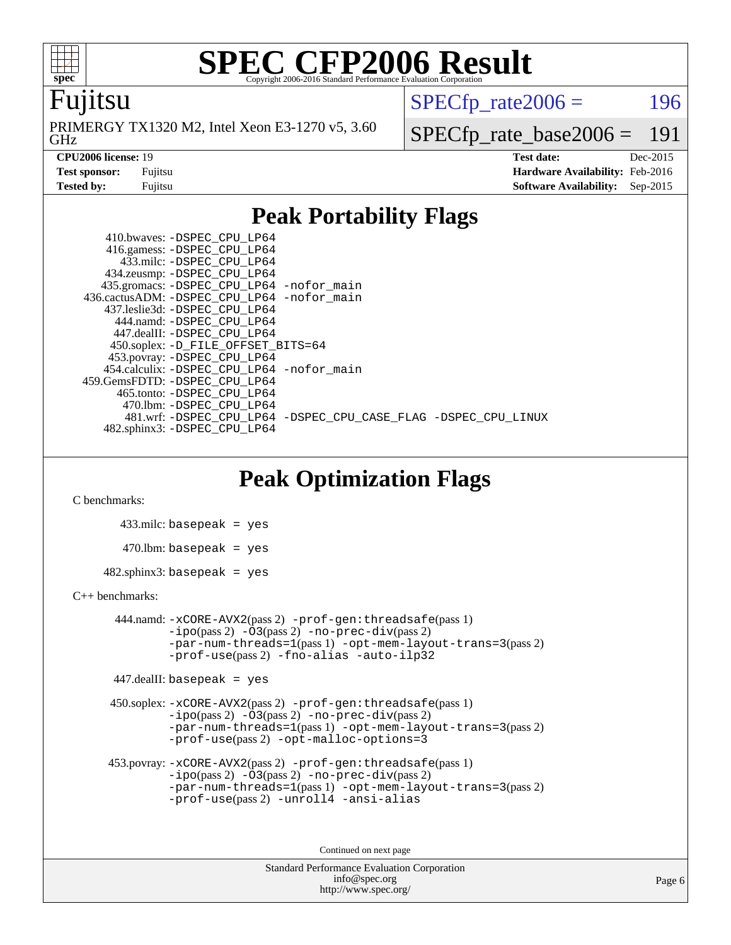

#### Fujitsu

GHz PRIMERGY TX1320 M2, Intel Xeon E3-1270 v5, 3.60  $SPECTp\_rate2006 = 196$ 

[SPECfp\\_rate\\_base2006 =](http://www.spec.org/auto/cpu2006/Docs/result-fields.html#SPECfpratebase2006) 191

**[CPU2006 license:](http://www.spec.org/auto/cpu2006/Docs/result-fields.html#CPU2006license)** 19 **[Test date:](http://www.spec.org/auto/cpu2006/Docs/result-fields.html#Testdate)** Dec-2015 **[Test sponsor:](http://www.spec.org/auto/cpu2006/Docs/result-fields.html#Testsponsor)** Fujitsu **[Hardware Availability:](http://www.spec.org/auto/cpu2006/Docs/result-fields.html#HardwareAvailability)** Feb-2016 **[Tested by:](http://www.spec.org/auto/cpu2006/Docs/result-fields.html#Testedby)** Fujitsu **[Software Availability:](http://www.spec.org/auto/cpu2006/Docs/result-fields.html#SoftwareAvailability)** Sep-2015

### **[Peak Portability Flags](http://www.spec.org/auto/cpu2006/Docs/result-fields.html#PeakPortabilityFlags)**

 410.bwaves: [-DSPEC\\_CPU\\_LP64](http://www.spec.org/cpu2006/results/res2016q1/cpu2006-20160111-38688.flags.html#suite_peakPORTABILITY410_bwaves_DSPEC_CPU_LP64) 416.gamess: [-DSPEC\\_CPU\\_LP64](http://www.spec.org/cpu2006/results/res2016q1/cpu2006-20160111-38688.flags.html#suite_peakPORTABILITY416_gamess_DSPEC_CPU_LP64) 433.milc: [-DSPEC\\_CPU\\_LP64](http://www.spec.org/cpu2006/results/res2016q1/cpu2006-20160111-38688.flags.html#suite_peakPORTABILITY433_milc_DSPEC_CPU_LP64) 434.zeusmp: [-DSPEC\\_CPU\\_LP64](http://www.spec.org/cpu2006/results/res2016q1/cpu2006-20160111-38688.flags.html#suite_peakPORTABILITY434_zeusmp_DSPEC_CPU_LP64) 435.gromacs: [-DSPEC\\_CPU\\_LP64](http://www.spec.org/cpu2006/results/res2016q1/cpu2006-20160111-38688.flags.html#suite_peakPORTABILITY435_gromacs_DSPEC_CPU_LP64) [-nofor\\_main](http://www.spec.org/cpu2006/results/res2016q1/cpu2006-20160111-38688.flags.html#user_peakLDPORTABILITY435_gromacs_f-nofor_main) 436.cactusADM: [-DSPEC\\_CPU\\_LP64](http://www.spec.org/cpu2006/results/res2016q1/cpu2006-20160111-38688.flags.html#suite_peakPORTABILITY436_cactusADM_DSPEC_CPU_LP64) [-nofor\\_main](http://www.spec.org/cpu2006/results/res2016q1/cpu2006-20160111-38688.flags.html#user_peakLDPORTABILITY436_cactusADM_f-nofor_main) 437.leslie3d: [-DSPEC\\_CPU\\_LP64](http://www.spec.org/cpu2006/results/res2016q1/cpu2006-20160111-38688.flags.html#suite_peakPORTABILITY437_leslie3d_DSPEC_CPU_LP64) 444.namd: [-DSPEC\\_CPU\\_LP64](http://www.spec.org/cpu2006/results/res2016q1/cpu2006-20160111-38688.flags.html#suite_peakPORTABILITY444_namd_DSPEC_CPU_LP64) 447.dealII: [-DSPEC\\_CPU\\_LP64](http://www.spec.org/cpu2006/results/res2016q1/cpu2006-20160111-38688.flags.html#suite_peakPORTABILITY447_dealII_DSPEC_CPU_LP64) 450.soplex: [-D\\_FILE\\_OFFSET\\_BITS=64](http://www.spec.org/cpu2006/results/res2016q1/cpu2006-20160111-38688.flags.html#user_peakPORTABILITY450_soplex_file_offset_bits_64_438cf9856305ebd76870a2c6dc2689ab) 453.povray: [-DSPEC\\_CPU\\_LP64](http://www.spec.org/cpu2006/results/res2016q1/cpu2006-20160111-38688.flags.html#suite_peakPORTABILITY453_povray_DSPEC_CPU_LP64) 454.calculix: [-DSPEC\\_CPU\\_LP64](http://www.spec.org/cpu2006/results/res2016q1/cpu2006-20160111-38688.flags.html#suite_peakPORTABILITY454_calculix_DSPEC_CPU_LP64) [-nofor\\_main](http://www.spec.org/cpu2006/results/res2016q1/cpu2006-20160111-38688.flags.html#user_peakLDPORTABILITY454_calculix_f-nofor_main) 459.GemsFDTD: [-DSPEC\\_CPU\\_LP64](http://www.spec.org/cpu2006/results/res2016q1/cpu2006-20160111-38688.flags.html#suite_peakPORTABILITY459_GemsFDTD_DSPEC_CPU_LP64) 465.tonto: [-DSPEC\\_CPU\\_LP64](http://www.spec.org/cpu2006/results/res2016q1/cpu2006-20160111-38688.flags.html#suite_peakPORTABILITY465_tonto_DSPEC_CPU_LP64) 470.lbm: [-DSPEC\\_CPU\\_LP64](http://www.spec.org/cpu2006/results/res2016q1/cpu2006-20160111-38688.flags.html#suite_peakPORTABILITY470_lbm_DSPEC_CPU_LP64) 481.wrf: [-DSPEC\\_CPU\\_LP64](http://www.spec.org/cpu2006/results/res2016q1/cpu2006-20160111-38688.flags.html#suite_peakPORTABILITY481_wrf_DSPEC_CPU_LP64) [-DSPEC\\_CPU\\_CASE\\_FLAG](http://www.spec.org/cpu2006/results/res2016q1/cpu2006-20160111-38688.flags.html#b481.wrf_peakCPORTABILITY_DSPEC_CPU_CASE_FLAG) [-DSPEC\\_CPU\\_LINUX](http://www.spec.org/cpu2006/results/res2016q1/cpu2006-20160111-38688.flags.html#b481.wrf_peakCPORTABILITY_DSPEC_CPU_LINUX) 482.sphinx3: [-DSPEC\\_CPU\\_LP64](http://www.spec.org/cpu2006/results/res2016q1/cpu2006-20160111-38688.flags.html#suite_peakPORTABILITY482_sphinx3_DSPEC_CPU_LP64)

### **[Peak Optimization Flags](http://www.spec.org/auto/cpu2006/Docs/result-fields.html#PeakOptimizationFlags)**

[C benchmarks](http://www.spec.org/auto/cpu2006/Docs/result-fields.html#Cbenchmarks):

 433.milc: basepeak = yes  $470.1$ bm: basepeak = yes  $482$ .sphinx3: basepeak = yes

#### [C++ benchmarks:](http://www.spec.org/auto/cpu2006/Docs/result-fields.html#CXXbenchmarks)

 444.namd: [-xCORE-AVX2](http://www.spec.org/cpu2006/results/res2016q1/cpu2006-20160111-38688.flags.html#user_peakPASS2_CXXFLAGSPASS2_LDFLAGS444_namd_f-xAVX2_5f5fc0cbe2c9f62c816d3e45806c70d7)(pass 2) [-prof-gen:threadsafe](http://www.spec.org/cpu2006/results/res2016q1/cpu2006-20160111-38688.flags.html#user_peakPASS1_CXXFLAGSPASS1_LDFLAGS444_namd_prof_gen_21a26eb79f378b550acd7bec9fe4467a)(pass 1)  $-i\text{po}(pass 2) -03(pass 2) -no-prec-div(pass 2)$  $-i\text{po}(pass 2) -03(pass 2) -no-prec-div(pass 2)$  $-i\text{po}(pass 2) -03(pass 2) -no-prec-div(pass 2)$ [-par-num-threads=1](http://www.spec.org/cpu2006/results/res2016q1/cpu2006-20160111-38688.flags.html#user_peakPASS1_CXXFLAGSPASS1_LDFLAGS444_namd_par_num_threads_786a6ff141b4e9e90432e998842df6c2)(pass 1) [-opt-mem-layout-trans=3](http://www.spec.org/cpu2006/results/res2016q1/cpu2006-20160111-38688.flags.html#user_peakPASS2_CXXFLAGS444_namd_f-opt-mem-layout-trans_a7b82ad4bd7abf52556d4961a2ae94d5)(pass 2) [-prof-use](http://www.spec.org/cpu2006/results/res2016q1/cpu2006-20160111-38688.flags.html#user_peakPASS2_CXXFLAGSPASS2_LDFLAGS444_namd_prof_use_bccf7792157ff70d64e32fe3e1250b55)(pass 2) [-fno-alias](http://www.spec.org/cpu2006/results/res2016q1/cpu2006-20160111-38688.flags.html#user_peakCXXOPTIMIZE444_namd_f-no-alias_694e77f6c5a51e658e82ccff53a9e63a) [-auto-ilp32](http://www.spec.org/cpu2006/results/res2016q1/cpu2006-20160111-38688.flags.html#user_peakCXXOPTIMIZE444_namd_f-auto-ilp32)

447.dealII: basepeak = yes

 450.soplex: [-xCORE-AVX2](http://www.spec.org/cpu2006/results/res2016q1/cpu2006-20160111-38688.flags.html#user_peakPASS2_CXXFLAGSPASS2_LDFLAGS450_soplex_f-xAVX2_5f5fc0cbe2c9f62c816d3e45806c70d7)(pass 2) [-prof-gen:threadsafe](http://www.spec.org/cpu2006/results/res2016q1/cpu2006-20160111-38688.flags.html#user_peakPASS1_CXXFLAGSPASS1_LDFLAGS450_soplex_prof_gen_21a26eb79f378b550acd7bec9fe4467a)(pass 1)  $-i\text{po}(pass 2) -\tilde{O}3(pass 2)$  [-no-prec-div](http://www.spec.org/cpu2006/results/res2016q1/cpu2006-20160111-38688.flags.html#user_peakPASS2_CXXFLAGSPASS2_LDFLAGS450_soplex_f-no-prec-div)(pass 2) [-par-num-threads=1](http://www.spec.org/cpu2006/results/res2016q1/cpu2006-20160111-38688.flags.html#user_peakPASS1_CXXFLAGSPASS1_LDFLAGS450_soplex_par_num_threads_786a6ff141b4e9e90432e998842df6c2)(pass 1) [-opt-mem-layout-trans=3](http://www.spec.org/cpu2006/results/res2016q1/cpu2006-20160111-38688.flags.html#user_peakPASS2_CXXFLAGS450_soplex_f-opt-mem-layout-trans_a7b82ad4bd7abf52556d4961a2ae94d5)(pass 2) [-prof-use](http://www.spec.org/cpu2006/results/res2016q1/cpu2006-20160111-38688.flags.html#user_peakPASS2_CXXFLAGSPASS2_LDFLAGS450_soplex_prof_use_bccf7792157ff70d64e32fe3e1250b55)(pass 2) [-opt-malloc-options=3](http://www.spec.org/cpu2006/results/res2016q1/cpu2006-20160111-38688.flags.html#user_peakOPTIMIZE450_soplex_f-opt-malloc-options_13ab9b803cf986b4ee62f0a5998c2238)

```
 453.povray: -xCORE-AVX2(pass 2) -prof-gen:threadsafe(pass 1)
-i\text{po}(pass 2) -03(pass 2)-no-prec-div(pass 2)
-par-num-threads=1(pass 1) -opt-mem-layout-trans=3(pass 2)
-prof-use(pass 2) -unroll4 -ansi-alias
```
Continued on next page

```
Standard Performance Evaluation Corporation
    info@spec.org
 http://www.spec.org/
```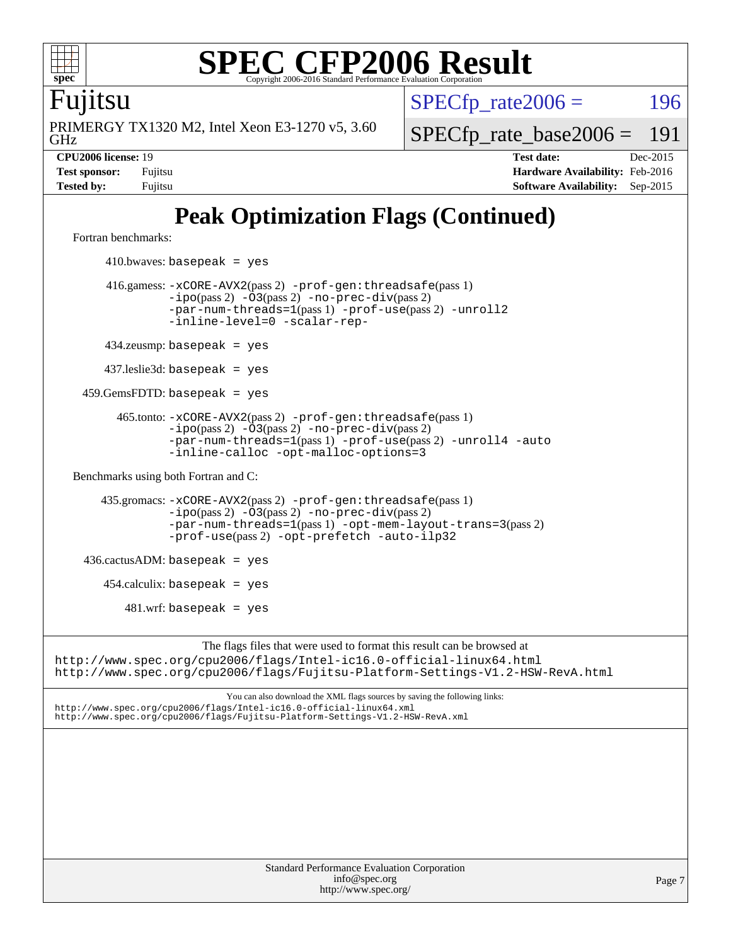

Fujitsu

GHz PRIMERGY TX1320 M2, Intel Xeon E3-1270 v5, 3.60  $SPECTp\_rate2006 = 196$ 

[SPECfp\\_rate\\_base2006 =](http://www.spec.org/auto/cpu2006/Docs/result-fields.html#SPECfpratebase2006) 191

**[CPU2006 license:](http://www.spec.org/auto/cpu2006/Docs/result-fields.html#CPU2006license)** 19 **[Test date:](http://www.spec.org/auto/cpu2006/Docs/result-fields.html#Testdate)** Dec-2015 **[Test sponsor:](http://www.spec.org/auto/cpu2006/Docs/result-fields.html#Testsponsor)** Fujitsu **[Hardware Availability:](http://www.spec.org/auto/cpu2006/Docs/result-fields.html#HardwareAvailability)** Feb-2016 **[Tested by:](http://www.spec.org/auto/cpu2006/Docs/result-fields.html#Testedby)** Fujitsu **[Software Availability:](http://www.spec.org/auto/cpu2006/Docs/result-fields.html#SoftwareAvailability)** Sep-2015

# **[Peak Optimization Flags \(Continued\)](http://www.spec.org/auto/cpu2006/Docs/result-fields.html#PeakOptimizationFlags)**

[Fortran benchmarks](http://www.spec.org/auto/cpu2006/Docs/result-fields.html#Fortranbenchmarks):

 $410.bwaves: basepeak = yes$  416.gamess: [-xCORE-AVX2](http://www.spec.org/cpu2006/results/res2016q1/cpu2006-20160111-38688.flags.html#user_peakPASS2_FFLAGSPASS2_LDFLAGS416_gamess_f-xAVX2_5f5fc0cbe2c9f62c816d3e45806c70d7)(pass 2) [-prof-gen:threadsafe](http://www.spec.org/cpu2006/results/res2016q1/cpu2006-20160111-38688.flags.html#user_peakPASS1_FFLAGSPASS1_LDFLAGS416_gamess_prof_gen_21a26eb79f378b550acd7bec9fe4467a)(pass 1)  $-i\text{po}(pass 2) -03(pass 2) -no-prec-div(pass 2)$  $-i\text{po}(pass 2) -03(pass 2) -no-prec-div(pass 2)$  $-i\text{po}(pass 2) -03(pass 2) -no-prec-div(pass 2)$ [-par-num-threads=1](http://www.spec.org/cpu2006/results/res2016q1/cpu2006-20160111-38688.flags.html#user_peakPASS1_FFLAGSPASS1_LDFLAGS416_gamess_par_num_threads_786a6ff141b4e9e90432e998842df6c2)(pass 1) [-prof-use](http://www.spec.org/cpu2006/results/res2016q1/cpu2006-20160111-38688.flags.html#user_peakPASS2_FFLAGSPASS2_LDFLAGS416_gamess_prof_use_bccf7792157ff70d64e32fe3e1250b55)(pass 2) [-unroll2](http://www.spec.org/cpu2006/results/res2016q1/cpu2006-20160111-38688.flags.html#user_peakOPTIMIZE416_gamess_f-unroll_784dae83bebfb236979b41d2422d7ec2) [-inline-level=0](http://www.spec.org/cpu2006/results/res2016q1/cpu2006-20160111-38688.flags.html#user_peakOPTIMIZE416_gamess_f-inline-level_318d07a09274ad25e8d15dbfaa68ba50) [-scalar-rep-](http://www.spec.org/cpu2006/results/res2016q1/cpu2006-20160111-38688.flags.html#user_peakOPTIMIZE416_gamess_f-disablescalarrep_abbcad04450fb118e4809c81d83c8a1d) 434.zeusmp: basepeak = yes 437.leslie3d: basepeak = yes 459.GemsFDTD: basepeak = yes 465.tonto: [-xCORE-AVX2](http://www.spec.org/cpu2006/results/res2016q1/cpu2006-20160111-38688.flags.html#user_peakPASS2_FFLAGSPASS2_LDFLAGS465_tonto_f-xAVX2_5f5fc0cbe2c9f62c816d3e45806c70d7)(pass 2) [-prof-gen:threadsafe](http://www.spec.org/cpu2006/results/res2016q1/cpu2006-20160111-38688.flags.html#user_peakPASS1_FFLAGSPASS1_LDFLAGS465_tonto_prof_gen_21a26eb79f378b550acd7bec9fe4467a)(pass 1)  $-ipo(pass 2)$  $-ipo(pass 2)$   $-03(pass 2)$   $-no-prec-div(pass 2)$  $-no-prec-div(pass 2)$ [-par-num-threads=1](http://www.spec.org/cpu2006/results/res2016q1/cpu2006-20160111-38688.flags.html#user_peakPASS1_FFLAGSPASS1_LDFLAGS465_tonto_par_num_threads_786a6ff141b4e9e90432e998842df6c2)(pass 1) [-prof-use](http://www.spec.org/cpu2006/results/res2016q1/cpu2006-20160111-38688.flags.html#user_peakPASS2_FFLAGSPASS2_LDFLAGS465_tonto_prof_use_bccf7792157ff70d64e32fe3e1250b55)(pass 2) [-unroll4](http://www.spec.org/cpu2006/results/res2016q1/cpu2006-20160111-38688.flags.html#user_peakOPTIMIZE465_tonto_f-unroll_4e5e4ed65b7fd20bdcd365bec371b81f) [-auto](http://www.spec.org/cpu2006/results/res2016q1/cpu2006-20160111-38688.flags.html#user_peakOPTIMIZE465_tonto_f-auto) [-inline-calloc](http://www.spec.org/cpu2006/results/res2016q1/cpu2006-20160111-38688.flags.html#user_peakOPTIMIZE465_tonto_f-inline-calloc) [-opt-malloc-options=3](http://www.spec.org/cpu2006/results/res2016q1/cpu2006-20160111-38688.flags.html#user_peakOPTIMIZE465_tonto_f-opt-malloc-options_13ab9b803cf986b4ee62f0a5998c2238) [Benchmarks using both Fortran and C](http://www.spec.org/auto/cpu2006/Docs/result-fields.html#BenchmarksusingbothFortranandC): 435.gromacs: [-xCORE-AVX2](http://www.spec.org/cpu2006/results/res2016q1/cpu2006-20160111-38688.flags.html#user_peakPASS2_CFLAGSPASS2_FFLAGSPASS2_LDFLAGS435_gromacs_f-xAVX2_5f5fc0cbe2c9f62c816d3e45806c70d7)(pass 2) [-prof-gen:threadsafe](http://www.spec.org/cpu2006/results/res2016q1/cpu2006-20160111-38688.flags.html#user_peakPASS1_CFLAGSPASS1_FFLAGSPASS1_LDFLAGS435_gromacs_prof_gen_21a26eb79f378b550acd7bec9fe4467a)(pass 1) [-ipo](http://www.spec.org/cpu2006/results/res2016q1/cpu2006-20160111-38688.flags.html#user_peakPASS2_CFLAGSPASS2_FFLAGSPASS2_LDFLAGS435_gromacs_f-ipo)(pass 2) [-O3](http://www.spec.org/cpu2006/results/res2016q1/cpu2006-20160111-38688.flags.html#user_peakPASS2_CFLAGSPASS2_FFLAGSPASS2_LDFLAGS435_gromacs_f-O3)(pass 2) [-no-prec-div](http://www.spec.org/cpu2006/results/res2016q1/cpu2006-20160111-38688.flags.html#user_peakPASS2_CFLAGSPASS2_FFLAGSPASS2_LDFLAGS435_gromacs_f-no-prec-div)(pass 2) [-par-num-threads=1](http://www.spec.org/cpu2006/results/res2016q1/cpu2006-20160111-38688.flags.html#user_peakPASS1_CFLAGSPASS1_FFLAGSPASS1_LDFLAGS435_gromacs_par_num_threads_786a6ff141b4e9e90432e998842df6c2)(pass 1) [-opt-mem-layout-trans=3](http://www.spec.org/cpu2006/results/res2016q1/cpu2006-20160111-38688.flags.html#user_peakPASS2_CFLAGS435_gromacs_f-opt-mem-layout-trans_a7b82ad4bd7abf52556d4961a2ae94d5)(pass 2) [-prof-use](http://www.spec.org/cpu2006/results/res2016q1/cpu2006-20160111-38688.flags.html#user_peakPASS2_CFLAGSPASS2_FFLAGSPASS2_LDFLAGS435_gromacs_prof_use_bccf7792157ff70d64e32fe3e1250b55)(pass 2) [-opt-prefetch](http://www.spec.org/cpu2006/results/res2016q1/cpu2006-20160111-38688.flags.html#user_peakOPTIMIZE435_gromacs_f-opt-prefetch) [-auto-ilp32](http://www.spec.org/cpu2006/results/res2016q1/cpu2006-20160111-38688.flags.html#user_peakCOPTIMIZE435_gromacs_f-auto-ilp32)  $436.cactusADM:basepeak = yes$  454.calculix: basepeak = yes  $481.$ wrf: basepeak = yes The flags files that were used to format this result can be browsed at <http://www.spec.org/cpu2006/flags/Intel-ic16.0-official-linux64.html> <http://www.spec.org/cpu2006/flags/Fujitsu-Platform-Settings-V1.2-HSW-RevA.html> You can also download the XML flags sources by saving the following links: <http://www.spec.org/cpu2006/flags/Intel-ic16.0-official-linux64.xml> <http://www.spec.org/cpu2006/flags/Fujitsu-Platform-Settings-V1.2-HSW-RevA.xml>